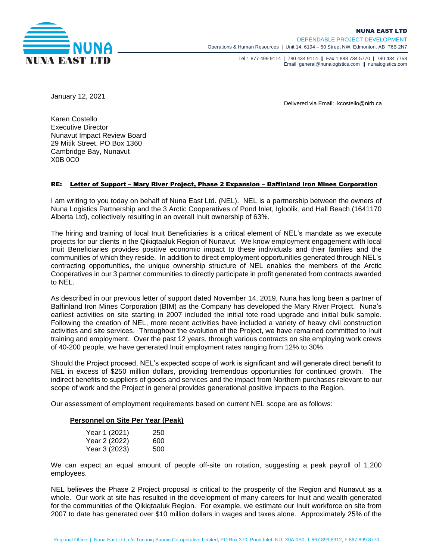

Tel 1 877 499 9114 | 780 434 9114 || Fax 1 888 734 5770 | 780 434 7758 Email general@nunalogistics.com II nunalogistics.com

January 12, 2021

Delivered via Email: kcostello@nirb.ca

Karen Costello Executive Director Nunavut Impact Review Board 29 Mitik Street, PO Box 1360 Cambridge Bay, Nunavut X0B 0C0

## RE: Letter of Support – Mary River Project, Phase 2 Expansion – Baffinland Iron Mines Corporation

I am writing to you today on behalf of Nuna East Ltd. (NEL). NEL is a partnership between the owners of Nuna Logistics Partnership and the 3 Arctic Cooperatives of Pond Inlet, Igloolik, and Hall Beach (1641170 Alberta Ltd), collectively resulting in an overall Inuit ownership of 63%.

The hiring and training of local Inuit Beneficiaries is a critical element of NEL's mandate as we execute projects for our clients in the Qikiqtaaluk Region of Nunavut. We know employment engagement with local Inuit Beneficiaries provides positive economic impact to these individuals and their families and the communities of which they reside. In addition to direct employment opportunities generated through NEL's contracting opportunities, the unique ownership structure of NEL enables the members of the Arctic Cooperatives in our 3 partner communities to directly participate in profit generated from contracts awarded to NEL.

As described in our previous letter of support dated November 14, 2019, Nuna has long been a partner of Baffinland Iron Mines Corporation (BIM) as the Company has developed the Mary River Project. Nuna's earliest activities on site starting in 2007 included the initial tote road upgrade and initial bulk sample. Following the creation of NEL, more recent activities have included a variety of heavy civil construction activities and site services. Throughout the evolution of the Project, we have remained committed to Inuit training and employment. Over the past 12 years, through various contracts on site employing work crews of 40-200 people, we have generated Inuit employment rates ranging from 12% to 30%.

Should the Project proceed, NEL's expected scope of work is significant and will generate direct benefit to NEL in excess of \$250 million dollars, providing tremendous opportunities for continued growth. The indirect benefits to suppliers of goods and services and the impact from Northern purchases relevant to our scope of work and the Project in general provides generational positive impacts to the Region.

Our assessment of employment requirements based on current NEL scope are as follows:

## **Personnel on Site Per Year (Peak)**

| Year 1 (2021) | 250 |
|---------------|-----|
| Year 2 (2022) | 600 |
| Year 3 (2023) | 500 |

We can expect an equal amount of people off-site on rotation, suggesting a peak payroll of 1,200 employees.

NEL believes the Phase 2 Project proposal is critical to the prosperity of the Region and Nunavut as a whole. Our work at site has resulted in the development of many careers for Inuit and wealth generated for the communities of the Qikiqtaaluk Region. For example, we estimate our Inuit workforce on site from 2007 to date has generated over \$10 million dollars in wages and taxes alone. Approximately 25% of the